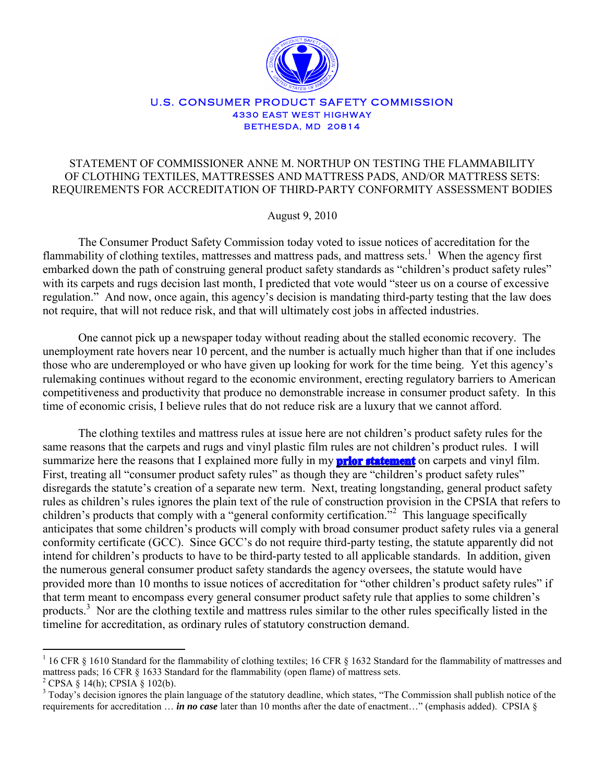

## U.S. CONSUMER PRODUCT SAFETY COMMISSION **4330 EAST WEST HIGHWAY BETHESDA, MD 20814**

## STATEMENT OF COMMISSIONER ANNE M. NORTHUP ON TESTING THE FLAMMABILITY OF CLOTHING TEXTILES, MATTRESSES AND MATTRESS PADS, AND/OR MATTRESS SETS: REQUIREMENTS FOR ACCREDITATION OF THIRD-PARTY CONFORMITY ASSESSMENT BODIES

August 9, 2010

The Consumer Product Safety Commission today voted to issue notices of accreditation for the flammability of clothing textiles, mattresses and mattress pads, and mattress sets.<sup>1</sup> When the agency first embarked down the path of construing general product safety standards as "children's product safety rules" with its carpets and rugs decision last month. I predicted that vote would "steer us on a course of excessive regulation." And now, once again, this agency's decision is mandating third-party testing that the law does not require, that will not reduce risk, and that will ultimately cost jobs in affected industries.

One cannot pick up a newspaper today without reading about the stalled economic recovery. The unemployment rate hovers near 10 percent, and the number is actually much higher than that if one includes those who are underemployed or who have given up looking for work for the time being. Yet this agency's rulemaking continues without regard to the economic environment, erecting regulatory barriers to American competitiveness and productivity that produce no demonstrable increase in consumer product safety. In this time of economic crisis, I believe rules that do not reduce risk are a luxury that we cannot afford.

The clothing textiles and mattress rules at issue here are not children's product safety rules for the same reasons that the carpets and rugs and vinyl plastic film rules are not children's product rules. I will summarize here the reasons that I explained more fully in my **[prior statement](http://www.cpsc.gov/pr/northup07122010.pdf)** on carpets and vinyl film. First, treating all "consumer product safety rules" as though they are "children's product safety rules" disregards the statute's creation of a separate new term. Next, treating longstanding, general product safety rules as children's rules ignores the plain text of the rule of construction provision in the CPSIA that refers to children's products that comply with a "general conformity certification."<sup>2</sup> This language specifically anticipates that some children's products will comply with broad consumer product safety rules via a general conformity certificate (GCC). Since GCC's do not require third-party testing, the statute apparently did not intend for children's products to have to be third-party tested to all applicable standards. In addition, given the numerous general consumer product safety standards the agency oversees, the statute would have provided more than 10 months to issue notices of accreditation for "other children's product safety rules" if that term meant to encompass every general consumer product safety rule that applies to some children's products.<sup>3</sup> Nor are the clothing textile and mattress rules similar to the other rules specifically listed in the timeline for accreditation, as ordinary rules of statutory construction demand.

<sup>&</sup>lt;sup>1</sup> 16 CFR § 1610 Standard for the flammability of clothing textiles; 16 CFR § 1632 Standard for the flammability of mattresses and mattress pads; 16 CFR § 1633 Standard for the flammability (open flame) of mattress sets.  $^{2}$  CPSA § 14(h); CPSIA § 102(b).

<sup>&</sup>lt;sup>3</sup> Today's decision ignores the plain language of the statutory deadline, which states, "The Commission shall publish notice of the requirements for accreditation … *in no case* later than 10 months after the date of enactment…" (emphasis added). CPSIA §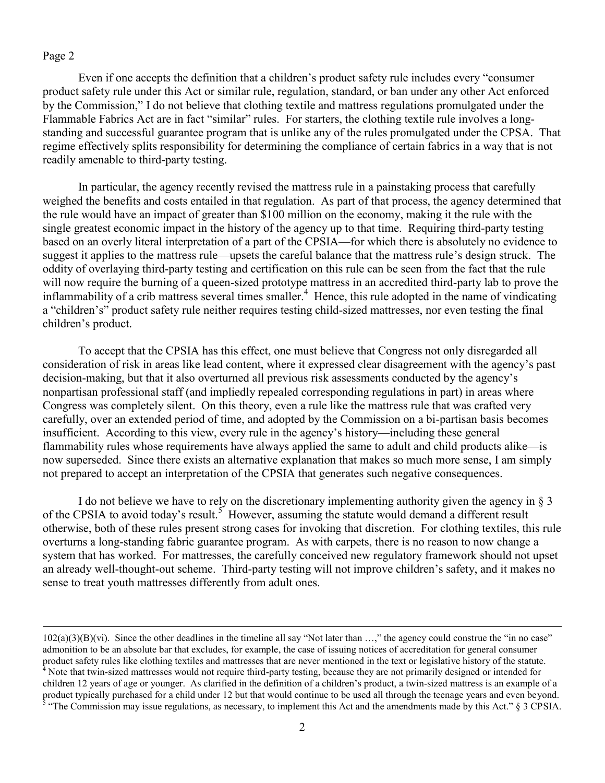## Page 2

 $\overline{a}$ 

Even if one accepts the definition that a children's product safety rule includes every "consumer product safety rule under this Act or similar rule, regulation, standard, or ban under any other Act enforced by the Commission," I do not believe that clothing textile and mattress regulations promulgated under the Flammable Fabrics Act are in fact "similar" rules. For starters, the clothing textile rule involves a longstanding and successful guarantee program that is unlike any of the rules promulgated under the CPSA. That regime effectively splits responsibility for determining the compliance of certain fabrics in a way that is not readily amenable to third-party testing.

In particular, the agency recently revised the mattress rule in a painstaking process that carefully weighed the benefits and costs entailed in that regulation. As part of that process, the agency determined that the rule would have an impact of greater than \$100 million on the economy, making it the rule with the single greatest economic impact in the history of the agency up to that time. Requiring third-party testing based on an overly literal interpretation of a part of the CPSIA—for which there is absolutely no evidence to suggest it applies to the mattress rule—upsets the careful balance that the mattress rule's design struck. The oddity of overlaying third-party testing and certification on this rule can be seen from the fact that the rule will now require the burning of a queen-sized prototype mattress in an accredited third-party lab to prove the inflammability of a crib mattress several times smaller.<sup>4</sup> Hence, this rule adopted in the name of vindicating a "children's" product safety rule neither requires testing child-sized mattresses, nor even testing the final children's product.

To accept that the CPSIA has this effect, one must believe that Congress not only disregarded all consideration of risk in areas like lead content, where it expressed clear disagreement with the agency's past decision-making, but that it also overturned all previous risk assessments conducted by the agency's nonpartisan professional staff (and impliedly repealed corresponding regulations in part) in areas where Congress was completely silent. On this theory, even a rule like the mattress rule that was crafted very carefully, over an extended period of time, and adopted by the Commission on a bi-partisan basis becomes insufficient. According to this view, every rule in the agency's history—including these general flammability rules whose requirements have always applied the same to adult and child products alike—is now superseded. Since there exists an alternative explanation that makes so much more sense, I am simply not prepared to accept an interpretation of the CPSIA that generates such negative consequences.

I do not believe we have to rely on the discretionary implementing authority given the agency in  $\S$  3 of the CPSIA to avoid today's result.<sup>5</sup> However, assuming the statute would demand a different result otherwise, both of these rules present strong cases for invoking that discretion. For clothing textiles, this rule overturns a long-standing fabric guarantee program. As with carpets, there is no reason to now change a system that has worked. For mattresses, the carefully conceived new regulatory framework should not upset an already well-thought-out scheme. Third-party testing will not improve children's safety, and it makes no sense to treat youth mattresses differently from adult ones.

<sup>102(</sup>a)(3)(B)(vi). Since the other deadlines in the timeline all say "Not later than …," the agency could construe the "in no case" admonition to be an absolute bar that excludes, for example, the case of issuing notices of accreditation for general consumer product safety rules like clothing textiles and mattresses that are never mentioned in the text or legislative history of the statute. <sup>4</sup> Note that twin-sized mattresses would not require third-party testing, because they are not primarily designed or intended for children 12 years of age or younger. As clarified in the definition of a children's product, a twin-sized mattress is an example of a product typically purchased for a child under 12 but that would continue to be used all through the teenage years and even beyond.<br><sup>5</sup> "The Commission may issue regulations, as necessary, to implement this Act and the amen